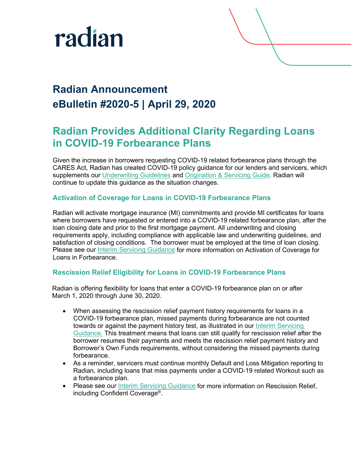

## **Radian Announcement eBulletin #2020-5 | April 29, 2020**

### **Radian Provides Additional Clarity Regarding Loans in COVID-19 Forbearance Plans**

Given the increase in borrowers requesting COVID-19 related forbearance plans through the CARES Act, Radian has created COVID-19 policy guidance for our lenders and servicers, which supplements our [Underwriting Guidelines](https://radian.com/-/media/Files/Mortgage-Insurance/Rates-and-Guidelines/Current-Guidelines/Eligibility-Matrices-and-Underwriting-Guidelines-04-14-20-FINAL.pdf) and [Origination & Servicing Guide.](https://radian.com/-/media/Files/Mortgage-Insurance/Servicing-Guides-and-Forms/RDN_OriginationServiceGuide_20200301.pdf) Radian will continue to update this guidance as the situation changes.

### **Activation of Coverage for Loans in COVID-19 Forbearance Plans**

Radian will activate mortgage insurance (MI) commitments and provide MI certificates for loans where borrowers have requested or entered into a COVID-19 related forbearance plan, after the loan closing date and prior to the first mortgage payment. All underwriting and closing requirements apply, including compliance with applicable law and underwriting guidelines, and satisfaction of closing conditions. The borrower must be employed at the time of loan closing. Please see our [Interim Servicing Guidance](https://radian.com/-/media/Files/Mortgage-Insurance/Servicing-Guides-and-Forms/COVID-19-Interim-Servicing-Guidance-FINAL.pdf) for more information on Activation of Coverage for Loans in Forbearance.

### **Rescission Relief Eligibility for Loans in COVID-19 Forbearance Plans**

Radian is offering flexibility for loans that enter a COVID-19 forbearance plan on or after March 1, 2020 through June 30, 2020.

- When assessing the rescission relief payment history requirements for loans in a COVID-19 forbearance plan, missed payments during forbearance are not counted towards or against the payment history test, as illustrated in our Interim Servicing [Guidance.](https://radian.com/-/media/Files/Mortgage-Insurance/Servicing-Guides-and-Forms/COVID-19-Interim-Servicing-Guidance-FINAL.pdf) This treatment means that loans can still qualify for rescission relief after the borrower resumes their payments and meets the rescission relief payment history and Borrower's Own Funds requirements, without considering the missed payments during forbearance.
- As a reminder, servicers must continue monthly Default and Loss Mitigation reporting to Radian, including loans that miss payments under a COVID-19 related Workout such as a forbearance plan.
- Please see our [Interim Servicing Guidance](https://radian.com/-/media/Files/Mortgage-Insurance/Servicing-Guides-and-Forms/COVID-19-Interim-Servicing-Guidance-FINAL.pdf) for more information on Rescission Relief, including Confident Coverage®.